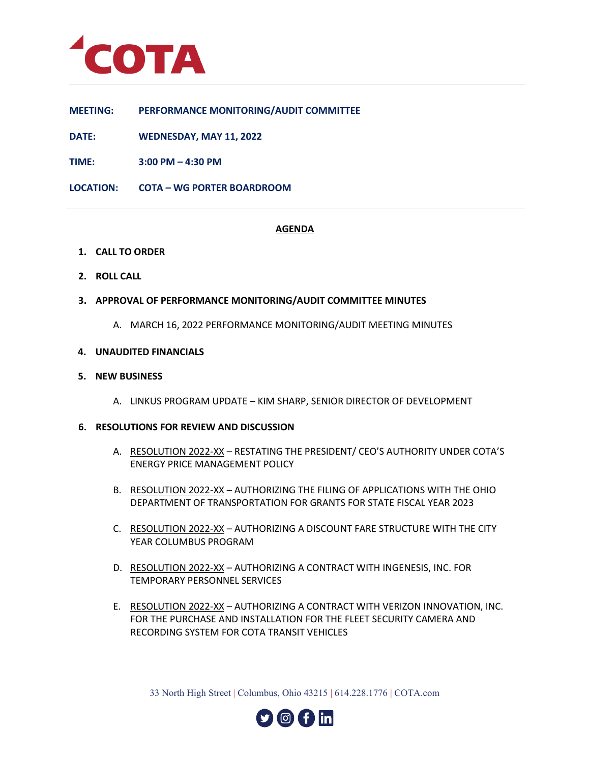

**MEETING: PERFORMANCE MONITORING/AUDIT COMMITTEE**

**DATE: WEDNESDAY, MAY 11, 2022**

**TIME: 3:00 PM – 4:30 PM**

**LOCATION: COTA – WG PORTER BOARDROOM**

# **AGENDA**

- **1. CALL TO ORDER**
- **2. ROLL CALL**
- **3. APPROVAL OF PERFORMANCE MONITORING/AUDIT COMMITTEE MINUTES**
	- A. MARCH 16, 2022 PERFORMANCE MONITORING/AUDIT MEETING MINUTES

### **4. UNAUDITED FINANCIALS**

### **5. NEW BUSINESS**

A. LINKUS PROGRAM UPDATE – KIM SHARP, SENIOR DIRECTOR OF DEVELOPMENT

## **6. RESOLUTIONS FOR REVIEW AND DISCUSSION**

- A. RESOLUTION 2022-XX RESTATING THE PRESIDENT/ CEO'S AUTHORITY UNDER COTA'S ENERGY PRICE MANAGEMENT POLICY
- B. RESOLUTION 2022-XX AUTHORIZING THE FILING OF APPLICATIONS WITH THE OHIO DEPARTMENT OF TRANSPORTATION FOR GRANTS FOR STATE FISCAL YEAR 2023
- C. RESOLUTION 2022-XX AUTHORIZING A DISCOUNT FARE STRUCTURE WITH THE CITY YEAR COLUMBUS PROGRAM
- D. RESOLUTION 2022-XX AUTHORIZING A CONTRACT WITH INGENESIS, INC. FOR TEMPORARY PERSONNEL SERVICES
- E. RESOLUTION 2022-XX AUTHORIZING A CONTRACT WITH VERIZON INNOVATION, INC. FOR THE PURCHASE AND INSTALLATION FOR THE FLEET SECURITY CAMERA AND RECORDING SYSTEM FOR COTA TRANSIT VEHICLES

33 North High Street | Columbus, Ohio 43215 | 614.228.1776 | COTA.com

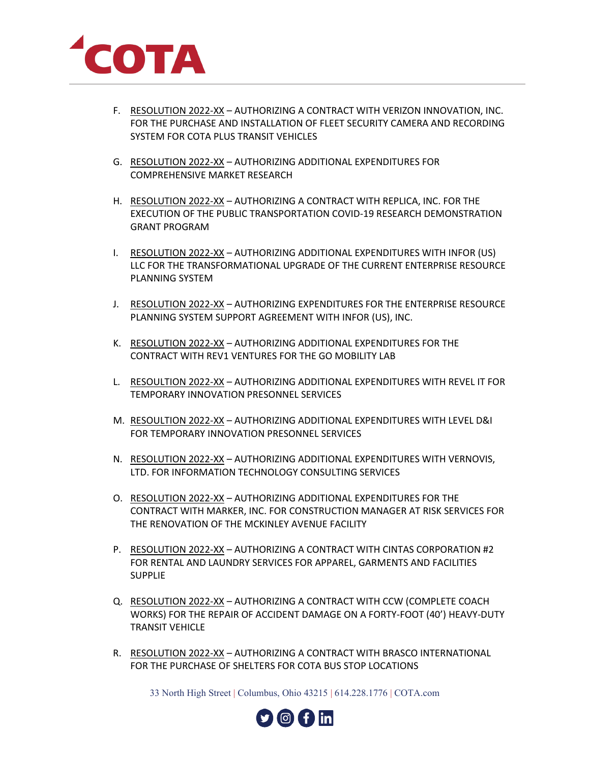

- F. RESOLUTION 2022-XX AUTHORIZING A CONTRACT WITH VERIZON INNOVATION, INC. FOR THE PURCHASE AND INSTALLATION OF FLEET SECURITY CAMERA AND RECORDING SYSTEM FOR COTA PLUS TRANSIT VEHICLES
- G. RESOLUTION 2022-XX AUTHORIZING ADDITIONAL EXPENDITURES FOR COMPREHENSIVE MARKET RESEARCH
- H. RESOLUTION 2022-XX AUTHORIZING A CONTRACT WITH REPLICA, INC. FOR THE EXECUTION OF THE PUBLIC TRANSPORTATION COVID-19 RESEARCH DEMONSTRATION GRANT PROGRAM
- I. RESOLUTION 2022-XX AUTHORIZING ADDITIONAL EXPENDITURES WITH INFOR (US) LLC FOR THE TRANSFORMATIONAL UPGRADE OF THE CURRENT ENTERPRISE RESOURCE PLANNING SYSTEM
- J. RESOLUTION 2022-XX AUTHORIZING EXPENDITURES FOR THE ENTERPRISE RESOURCE PLANNING SYSTEM SUPPORT AGREEMENT WITH INFOR (US), INC.
- K. RESOLUTION 2022-XX AUTHORIZING ADDITIONAL EXPENDITURES FOR THE CONTRACT WITH REV1 VENTURES FOR THE GO MOBILITY LAB
- L. RESOULTION 2022-XX AUTHORIZING ADDITIONAL EXPENDITURES WITH REVEL IT FOR TEMPORARY INNOVATION PRESONNEL SERVICES
- M. RESOULTION 2022-XX AUTHORIZING ADDITIONAL EXPENDITURES WITH LEVEL D&I FOR TEMPORARY INNOVATION PRESONNEL SERVICES
- N. RESOLUTION 2022-XX AUTHORIZING ADDITIONAL EXPENDITURES WITH VERNOVIS, LTD. FOR INFORMATION TECHNOLOGY CONSULTING SERVICES
- O. RESOLUTION 2022-XX AUTHORIZING ADDITIONAL EXPENDITURES FOR THE CONTRACT WITH MARKER, INC. FOR CONSTRUCTION MANAGER AT RISK SERVICES FOR THE RENOVATION OF THE MCKINLEY AVENUE FACILITY
- P. RESOLUTION 2022-XX AUTHORIZING A CONTRACT WITH CINTAS CORPORATION #2 FOR RENTAL AND LAUNDRY SERVICES FOR APPAREL, GARMENTS AND FACILITIES **SUPPLIE**
- Q. RESOLUTION 2022-XX AUTHORIZING A CONTRACT WITH CCW (COMPLETE COACH WORKS) FOR THE REPAIR OF ACCIDENT DAMAGE ON A FORTY-FOOT (40') HEAVY-DUTY TRANSIT VEHICLE
- R. RESOLUTION 2022-XX AUTHORIZING A CONTRACT WITH BRASCO INTERNATIONAL FOR THE PURCHASE OF SHELTERS FOR COTA BUS STOP LOCATIONS

33 North High Street | Columbus, Ohio 43215 | 614.228.1776 | COTA.com